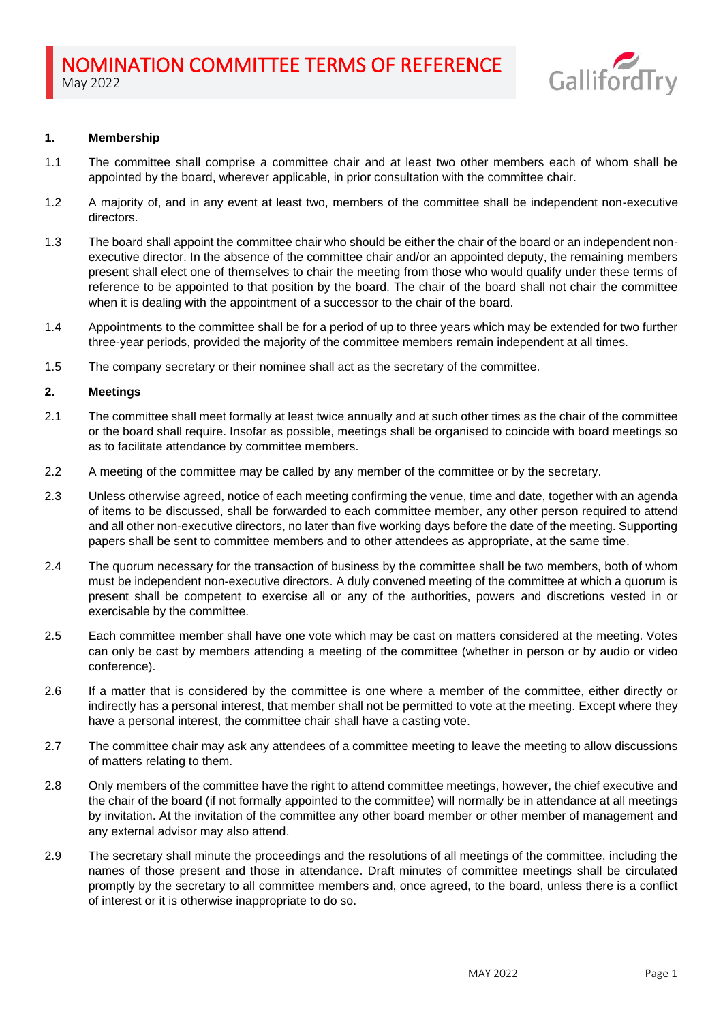

## **1. Membership**

- 1.1 The committee shall comprise a committee chair and at least two other members each of whom shall be appointed by the board, wherever applicable, in prior consultation with the committee chair.
- 1.2 A majority of, and in any event at least two, members of the committee shall be independent non-executive directors.
- 1.3 The board shall appoint the committee chair who should be either the chair of the board or an independent nonexecutive director. In the absence of the committee chair and/or an appointed deputy, the remaining members present shall elect one of themselves to chair the meeting from those who would qualify under these terms of reference to be appointed to that position by the board. The chair of the board shall not chair the committee when it is dealing with the appointment of a successor to the chair of the board.
- 1.4 Appointments to the committee shall be for a period of up to three years which may be extended for two further three-year periods, provided the majority of the committee members remain independent at all times.
- 1.5 The company secretary or their nominee shall act as the secretary of the committee.

### **2. Meetings**

- 2.1 The committee shall meet formally at least twice annually and at such other times as the chair of the committee or the board shall require. Insofar as possible, meetings shall be organised to coincide with board meetings so as to facilitate attendance by committee members.
- 2.2 A meeting of the committee may be called by any member of the committee or by the secretary.
- 2.3 Unless otherwise agreed, notice of each meeting confirming the venue, time and date, together with an agenda of items to be discussed, shall be forwarded to each committee member, any other person required to attend and all other non-executive directors, no later than five working days before the date of the meeting. Supporting papers shall be sent to committee members and to other attendees as appropriate, at the same time.
- 2.4 The quorum necessary for the transaction of business by the committee shall be two members, both of whom must be independent non-executive directors. A duly convened meeting of the committee at which a quorum is present shall be competent to exercise all or any of the authorities, powers and discretions vested in or exercisable by the committee.
- 2.5 Each committee member shall have one vote which may be cast on matters considered at the meeting. Votes can only be cast by members attending a meeting of the committee (whether in person or by audio or video conference).
- 2.6 If a matter that is considered by the committee is one where a member of the committee, either directly or indirectly has a personal interest, that member shall not be permitted to vote at the meeting. Except where they have a personal interest, the committee chair shall have a casting vote.
- 2.7 The committee chair may ask any attendees of a committee meeting to leave the meeting to allow discussions of matters relating to them.
- 2.8 Only members of the committee have the right to attend committee meetings, however, the chief executive and the chair of the board (if not formally appointed to the committee) will normally be in attendance at all meetings by invitation. At the invitation of the committee any other board member or other member of management and any external advisor may also attend.
- 2.9 The secretary shall minute the proceedings and the resolutions of all meetings of the committee, including the names of those present and those in attendance. Draft minutes of committee meetings shall be circulated promptly by the secretary to all committee members and, once agreed, to the board, unless there is a conflict of interest or it is otherwise inappropriate to do so.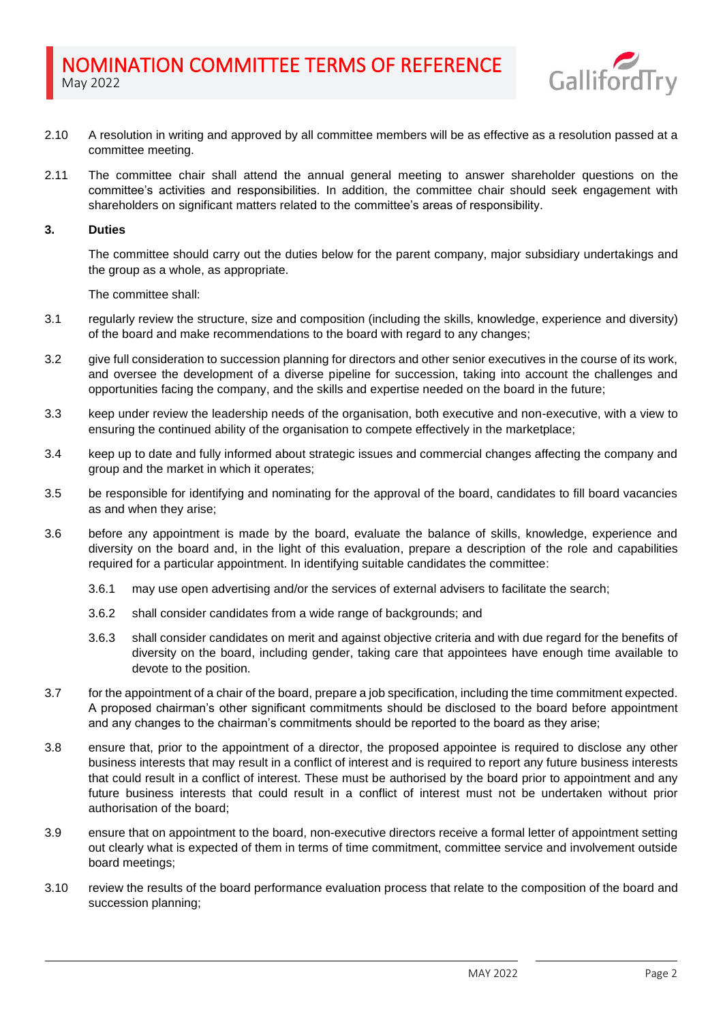

- 2.10 A resolution in writing and approved by all committee members will be as effective as a resolution passed at a committee meeting.
- 2.11 The committee chair shall attend the annual general meeting to answer shareholder questions on the committee's activities and responsibilities. In addition, the committee chair should seek engagement with shareholders on significant matters related to the committee's areas of responsibility.

## **3. Duties**

The committee should carry out the duties below for the parent company, major subsidiary undertakings and the group as a whole, as appropriate.

The committee shall:

- 3.1 regularly review the structure, size and composition (including the skills, knowledge, experience and diversity) of the board and make recommendations to the board with regard to any changes;
- 3.2 give full consideration to succession planning for directors and other senior executives in the course of its work, and oversee the development of a diverse pipeline for succession, taking into account the challenges and opportunities facing the company, and the skills and expertise needed on the board in the future;
- 3.3 keep under review the leadership needs of the organisation, both executive and non-executive, with a view to ensuring the continued ability of the organisation to compete effectively in the marketplace;
- 3.4 keep up to date and fully informed about strategic issues and commercial changes affecting the company and group and the market in which it operates;
- 3.5 be responsible for identifying and nominating for the approval of the board, candidates to fill board vacancies as and when they arise;
- 3.6 before any appointment is made by the board, evaluate the balance of skills, knowledge, experience and diversity on the board and, in the light of this evaluation, prepare a description of the role and capabilities required for a particular appointment. In identifying suitable candidates the committee:
	- 3.6.1 may use open advertising and/or the services of external advisers to facilitate the search;
	- 3.6.2 shall consider candidates from a wide range of backgrounds; and
	- 3.6.3 shall consider candidates on merit and against objective criteria and with due regard for the benefits of diversity on the board, including gender, taking care that appointees have enough time available to devote to the position.
- 3.7 for the appointment of a chair of the board, prepare a job specification, including the time commitment expected. A proposed chairman's other significant commitments should be disclosed to the board before appointment and any changes to the chairman's commitments should be reported to the board as they arise;
- 3.8 ensure that, prior to the appointment of a director, the proposed appointee is required to disclose any other business interests that may result in a conflict of interest and is required to report any future business interests that could result in a conflict of interest. These must be authorised by the board prior to appointment and any future business interests that could result in a conflict of interest must not be undertaken without prior authorisation of the board;
- 3.9 ensure that on appointment to the board, non-executive directors receive a formal letter of appointment setting out clearly what is expected of them in terms of time commitment, committee service and involvement outside board meetings;
- 3.10 review the results of the board performance evaluation process that relate to the composition of the board and succession planning;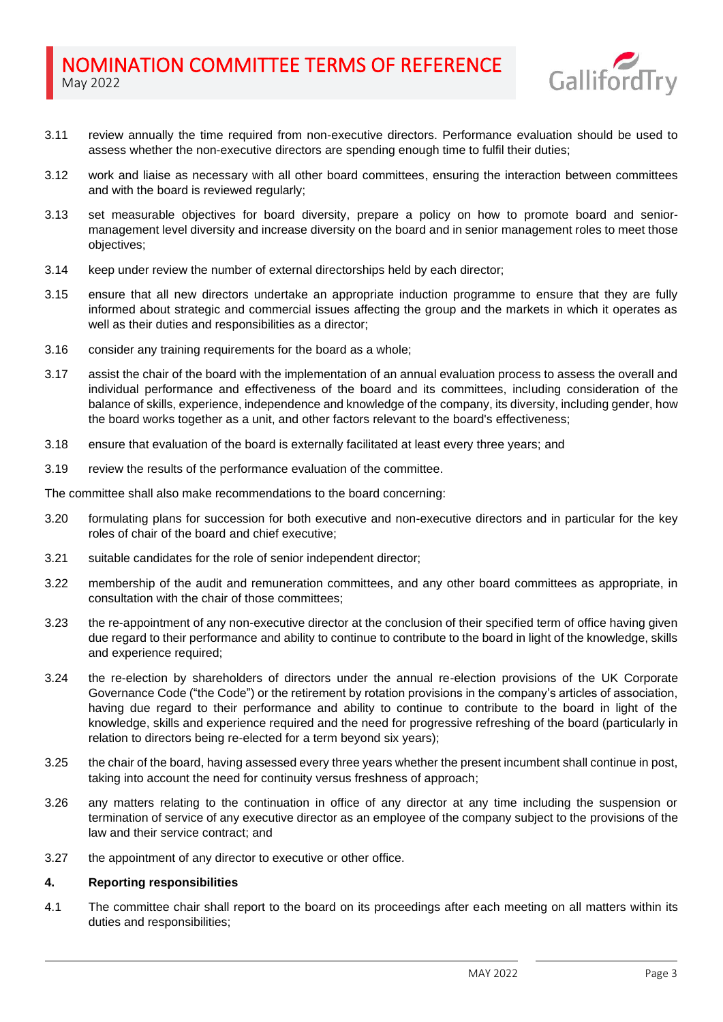

- 3.11 review annually the time required from non-executive directors. Performance evaluation should be used to assess whether the non-executive directors are spending enough time to fulfil their duties;
- 3.12 work and liaise as necessary with all other board committees, ensuring the interaction between committees and with the board is reviewed regularly;
- 3.13 set measurable objectives for board diversity, prepare a policy on how to promote board and seniormanagement level diversity and increase diversity on the board and in senior management roles to meet those objectives;
- 3.14 keep under review the number of external directorships held by each director;
- 3.15 ensure that all new directors undertake an appropriate induction programme to ensure that they are fully informed about strategic and commercial issues affecting the group and the markets in which it operates as well as their duties and responsibilities as a director;
- 3.16 consider any training requirements for the board as a whole;
- 3.17 assist the chair of the board with the implementation of an annual evaluation process to assess the overall and individual performance and effectiveness of the board and its committees, including consideration of the balance of skills, experience, independence and knowledge of the company, its diversity, including gender, how the board works together as a unit, and other factors relevant to the board's effectiveness;
- 3.18 ensure that evaluation of the board is externally facilitated at least every three years; and
- 3.19 review the results of the performance evaluation of the committee.

The committee shall also make recommendations to the board concerning:

- 3.20 formulating plans for succession for both executive and non-executive directors and in particular for the key roles of chair of the board and chief executive;
- 3.21 suitable candidates for the role of senior independent director;
- 3.22 membership of the audit and remuneration committees, and any other board committees as appropriate, in consultation with the chair of those committees;
- 3.23 the re-appointment of any non-executive director at the conclusion of their specified term of office having given due regard to their performance and ability to continue to contribute to the board in light of the knowledge, skills and experience required;
- 3.24 the re-election by shareholders of directors under the annual re-election provisions of the UK Corporate Governance Code ("the Code") or the retirement by rotation provisions in the company's articles of association, having due regard to their performance and ability to continue to contribute to the board in light of the knowledge, skills and experience required and the need for progressive refreshing of the board (particularly in relation to directors being re-elected for a term beyond six years);
- 3.25 the chair of the board, having assessed every three years whether the present incumbent shall continue in post, taking into account the need for continuity versus freshness of approach;
- 3.26 any matters relating to the continuation in office of any director at any time including the suspension or termination of service of any executive director as an employee of the company subject to the provisions of the law and their service contract; and
- 3.27 the appointment of any director to executive or other office.

# **4. Reporting responsibilities**

4.1 The committee chair shall report to the board on its proceedings after each meeting on all matters within its duties and responsibilities;